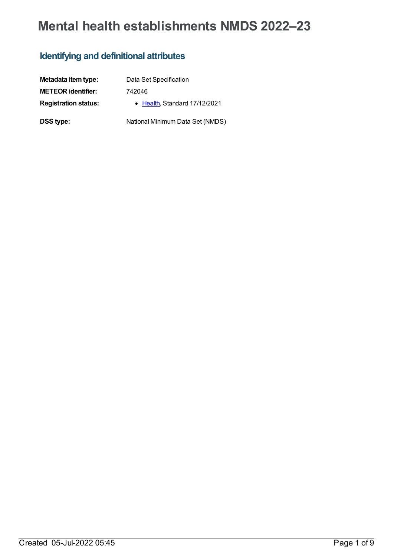# **Mental health establishments NMDS 2022–23**

### **Identifying and definitional attributes**

| Metadata item type:         | Data Set Specification           |
|-----------------------------|----------------------------------|
| <b>METEOR identifier:</b>   | 742046                           |
| <b>Registration status:</b> | • Health Standard 17/12/2021     |
| <b>DSS type:</b>            | National Minimum Data Set (NMDS) |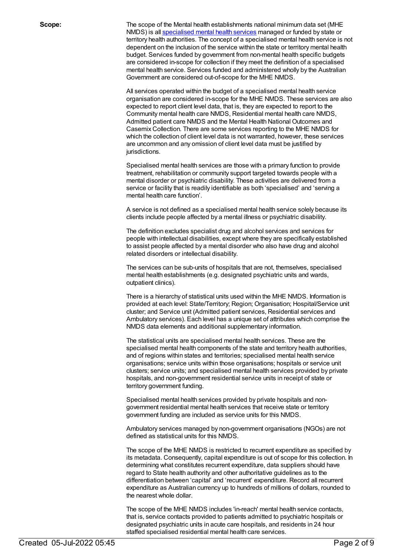**Scope:** The scope of the Mental health establishments national minimum data set (MHE NMDS) is all [specialised](file:///content/268984) mental health services managed or funded by state or territory health authorities. The concept of a specialised mental health service is not dependent on the inclusion of the service within the state or territory mental health budget. Services funded by government from non-mental health specific budgets are considered in-scope for collection if they meet the definition of a specialised mental health service. Services funded and administered wholly by the Australian Government are considered out-of-scope for the MHE NMDS.

> All services operated within the budget of a specialised mental health service organisation are considered in-scope for the MHE NMDS. These services are also expected to report client level data, that is, they are expected to report to the Community mental health care NMDS, Residential mental health care NMDS, Admitted patient care NMDS and the Mental Health National Outcomes and Casemix Collection. There are some services reporting to the MHE NMDS for which the collection of client level data is not warranted, however, these services are uncommon and any omission of client level data must be justified by jurisdictions.

Specialised mental health services are those with a primary function to provide treatment, rehabilitation or community support targeted towards people with a mental disorder or psychiatric disability. These activities are delivered from a service or facility that is readily identifiable as both 'specialised' and 'serving a mental health care function'.

A service is not defined as a specialised mental health service solely because its clients include people affected by a mental illness or psychiatric disability.

The definition excludes specialist drug and alcohol services and services for people with intellectual disabilities, except where they are specifically established to assist people affected by a mental disorder who also have drug and alcohol related disorders or intellectual disability.

The services can be sub-units of hospitals that are not, themselves, specialised mental health establishments (e.g. designated psychiatric units and wards, outpatient clinics).

There is a hierarchy of statistical units used within the MHE NMDS. Information is provided at each level: State/Territory; Region; Organisation; Hospital/Service unit cluster; and Service unit (Admitted patient services, Residential services and Ambulatory services). Each level has a unique set of attributes which comprise the NMDS data elements and additional supplementary information.

The statistical units are specialised mental health services. These are the specialised mental health components of the state and territory health authorities, and of regions within states and territories; specialised mental health service organisations; service units within those organisations; hospitals or service unit clusters; service units; and specialised mental health services provided by private hospitals, and non-government residential service units in receipt of state or territory government funding.

Specialised mental health services provided by private hospitals and nongovernment residential mental health services that receive state or territory government funding are included as service units for this NMDS.

Ambulatory services managed by non-government organisations (NGOs) are not defined as statistical units for this NMDS.

The scope of the MHE NMDS is restricted to recurrent expenditure as specified by its metadata. Consequently, capital expenditure is out of scope for this collection. In determining what constitutes recurrent expenditure, data suppliers should have regard to State health authority and other authoritative guidelines as to the differentiation between 'capital' and 'recurrent' expenditure. Record all recurrent expenditure as Australian currency up to hundreds of millions of dollars, rounded to the nearest whole dollar.

The scope of the MHE NMDS includes 'in-reach' mental health service contacts, that is, service contacts provided to patients admitted to psychiatric hospitals or designated psychiatric units in acute care hospitals, and residents in 24 hour staffed specialised residential mental health care services.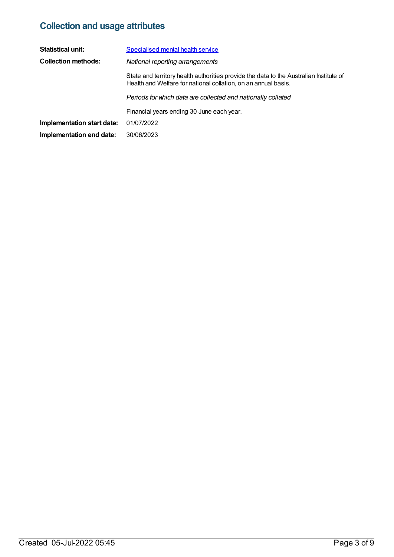## **Collection and usage attributes**

| <b>Statistical unit:</b>   | <b>Specialised mental health service</b>                                                                                                                 |
|----------------------------|----------------------------------------------------------------------------------------------------------------------------------------------------------|
| <b>Collection methods:</b> | National reporting arrangements                                                                                                                          |
|                            | State and territory health authorities provide the data to the Australian Institute of<br>Health and Welfare for national collation, on an annual basis. |
|                            | Periods for which data are collected and nationally collated                                                                                             |
|                            | Financial years ending 30 June each year.                                                                                                                |
| Implementation start date: | 01/07/2022                                                                                                                                               |
| Implementation end date:   | 30/06/2023                                                                                                                                               |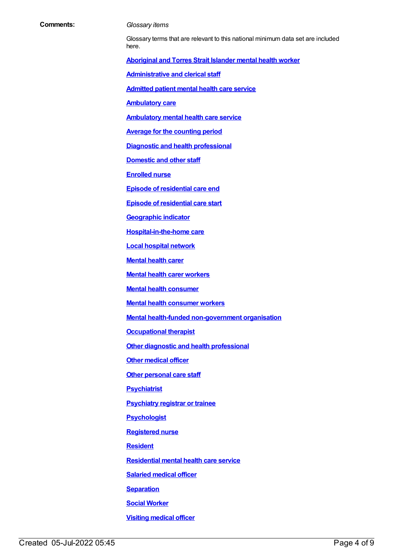#### **Comments:** *Glossary items*

Glossary terms that are relevant to this national minimum data set are included here.

**[Aboriginal](https://meteor.aihw.gov.au/content/701021) and Torres Strait Islander mental health worker**

**[Administrative](https://meteor.aihw.gov.au/content/327166) and clerical staff**

**[Admitted](https://meteor.aihw.gov.au/content/409067) patient mental health care service**

**[Ambulatory](https://meteor.aihw.gov.au/content/749893) care**

**[Ambulatory](https://meteor.aihw.gov.au/content/699980) mental health care service**

**Average for the [counting](https://meteor.aihw.gov.au/content/373642) period**

**Diagnostic and health [professional](https://meteor.aihw.gov.au/content/327164)**

**[Domestic](https://meteor.aihw.gov.au/content/327168) and other staff**

**[Enrolled](https://meteor.aihw.gov.au/content/717101) nurse**

**Episode of [residential](https://meteor.aihw.gov.au/content/376427) care end**

**Episode of [residential](https://meteor.aihw.gov.au/content/376510) care start**

**[Geographic](https://meteor.aihw.gov.au/content/722655) indicator**

**[Hospital-in-the-home](https://meteor.aihw.gov.au/content/327308) care**

**Local [hospital](https://meteor.aihw.gov.au/content/711144) network**

**[Mental](https://meteor.aihw.gov.au/content/515278) health carer**

**Mental health carer [workers](https://meteor.aihw.gov.au/content/717103)**

**Mental health [consumer](https://meteor.aihw.gov.au/content/515275)**

**Mental health [consumer](https://meteor.aihw.gov.au/content/450727) workers**

**Mental health-funded [non-government](https://meteor.aihw.gov.au/content/327446) organisation**

**[Occupational](https://meteor.aihw.gov.au/content/717106) therapist**

**Other diagnostic and health [professional](https://meteor.aihw.gov.au/content/327338)**

**Other [medical](https://meteor.aihw.gov.au/content/717108) officer**

**Other [personal](https://meteor.aihw.gov.au/content/327162) care staff**

**[Psychiatrist](https://meteor.aihw.gov.au/content/717113)**

**[Psychiatry](https://meteor.aihw.gov.au/content/717116) registrar or trainee**

**[Psychologist](https://meteor.aihw.gov.au/content/717120)**

**[Registered](https://meteor.aihw.gov.au/content/327182) nurse**

**[Resident](https://meteor.aihw.gov.au/content/722666)**

**[Residential](https://meteor.aihw.gov.au/content/373049) mental health care service**

**[Salaried](https://meteor.aihw.gov.au/content/327188) medical officer**

**[Separation](https://meteor.aihw.gov.au/content/327268)**

**Social [Worker](https://meteor.aihw.gov.au/content/327348)**

**Visiting [medical](https://meteor.aihw.gov.au/content/327170) officer**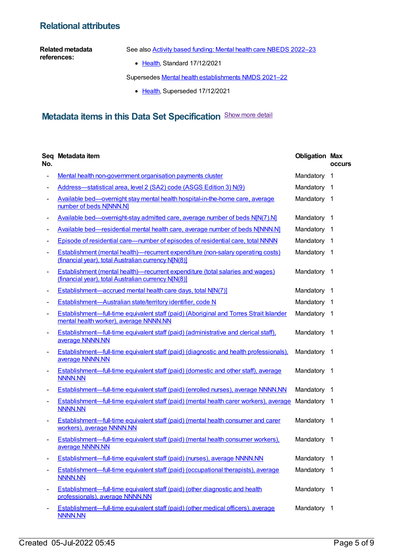### **Relational attributes**

#### **Related metadata references:**

See also Activity based funding: Mental health care NBEDS [2022–23](https://meteor.aihw.gov.au/content/742188)

• [Health](https://meteor.aihw.gov.au/RegistrationAuthority/12), Standard 17/12/2021

Supersedes Mental health [establishments](https://meteor.aihw.gov.au/content/727352) NMDS 2021–22

• [Health](https://meteor.aihw.gov.au/RegistrationAuthority/12), Superseded 17/12/2021

### **Metadata items in this Data Set Specification** Show more detail

| No.                      | Seq Metadata item                                                                                                                            | <b>Obligation Max</b> | <b>occurs</b>  |
|--------------------------|----------------------------------------------------------------------------------------------------------------------------------------------|-----------------------|----------------|
|                          | Mental health non-government organisation payments cluster                                                                                   | Mandatory             | $\mathbf 1$    |
|                          | Address-statistical area, level 2 (SA2) code (ASGS Edition 3) N(9)                                                                           | Mandatory 1           |                |
|                          | Available bed—overnight stay mental health hospital-in-the-home care, average<br>number of beds N[NNN.N]                                     | Mandatory 1           |                |
|                          | Available bed—overnight-stay admitted care, average number of beds N[N(7).N]                                                                 | Mandatory             | $\overline{1}$ |
|                          | Available bed—residential mental health care, average number of beds N[NNN.N]                                                                | Mandatory             | $\overline{1}$ |
| -                        | Episode of residential care—number of episodes of residential care, total NNNN                                                               | Mandatory             | -1             |
|                          | Establishment (mental health)—recurrent expenditure (non-salary operating costs)<br>(financial year), total Australian currency NJN(8)]      | Mandatory 1           |                |
| $\overline{\phantom{a}}$ | <b>Establishment (mental health)—recurrent expenditure (total salaries and wages)</b><br>(financial year), total Australian currency N[N(8)] | Mandatory 1           |                |
|                          | Establishment—accrued mental health care days, total N[N(7)]                                                                                 | Mandatory 1           |                |
|                          | Establishment-Australian state/territory identifier, code N                                                                                  | Mandatory             | - 1            |
| $\overline{\phantom{a}}$ | Establishment-full-time equivalent staff (paid) (Aboriginal and Torres Strait Islander<br>mental health worker), average NNNN.NN             | Mandatory             | -1             |
| -                        | Establishment—full-time equivalent staff (paid) (administrative and clerical staff),<br>average NNNN.NN                                      | Mandatory 1           |                |
| $\overline{\phantom{0}}$ | Establishment—full-time equivalent staff (paid) (diagnostic and health professionals),<br>average NNNN.NN                                    | Mandatory 1           |                |
|                          | <b>Establishment—full-time equivalent staff (paid) (domestic and other staff), average</b><br><b>NNNN.NN</b>                                 | Mandatory 1           |                |
|                          | Establishment—full-time equivalent staff (paid) (enrolled nurses), average NNNN.NN                                                           | Mandatory 1           |                |
| $\overline{\phantom{a}}$ | Establishment—full-time equivalent staff (paid) (mental health carer workers), average<br><b>NNNN.NN</b>                                     | Mandatory 1           |                |
| $\overline{\phantom{a}}$ | <b>Establishment—full-time equivalent staff (paid) (mental health consumer and carer</b><br>workers), average NNNN.NN                        | Mandatory 1           |                |
|                          | <b>Establishment—full-time equivalent staff (paid) (mental health consumer workers),</b><br>average NNNN.NN                                  | Mandatory 1           |                |
|                          | Establishment-full-time equivalent staff (paid) (nurses), average NNNN.NN                                                                    | Mandatory             | $\overline{1}$ |
|                          | <b>Establishment—full-time equivalent staff (paid) (occupational therapists), average</b><br><b>NNNN.NN</b>                                  | Mandatory 1           |                |
| $\overline{\phantom{a}}$ | Establishment—full-time equivalent staff (paid) (other diagnostic and health<br>professionals), average NNNN.NN                              | Mandatory 1           |                |
|                          | Establishment—full-time equivalent staff (paid) (other medical officers), average<br><b>NNNN.NN</b>                                          | Mandatory 1           |                |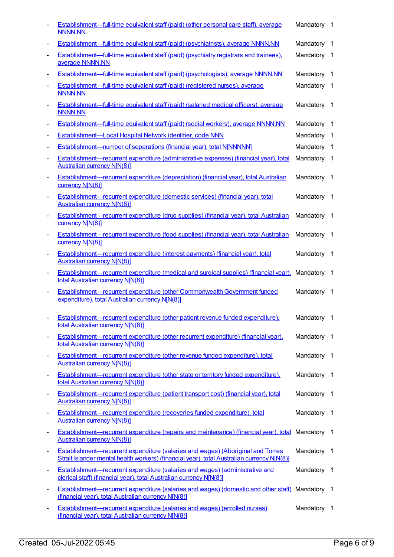|                          | <b>Establishment—full-time equivalent staff (paid) (other personal care staff), average</b><br><b>NNNN.NN</b>                                                                        | Mandatory 1 |                          |
|--------------------------|--------------------------------------------------------------------------------------------------------------------------------------------------------------------------------------|-------------|--------------------------|
| $\overline{\phantom{a}}$ | <b>Establishment—full-time equivalent staff (paid) (psychiatrists), average NNNN.NN</b>                                                                                              | Mandatory   | $\overline{1}$           |
| $\blacksquare$           | <b>Establishment—full-time equivalent staff (paid) (psychiatry registrars and trainees).</b><br>average NNNN.NN                                                                      | Mandatory   | $\overline{1}$           |
| $\overline{\phantom{a}}$ | Establishment—full-time equivalent staff (paid) (psychologists), average NNNN.NN                                                                                                     | Mandatory   | - 1                      |
| $\overline{\phantom{a}}$ | Establishment—full-time equivalent staff (paid) (registered nurses), average<br><b>NNNN.NN</b>                                                                                       | Mandatory 1 |                          |
| $\overline{\phantom{a}}$ | Establishment—full-time equivalent staff (paid) (salaried medical officers), average<br><b>NNNN.NN</b>                                                                               | Mandatory   | $\overline{1}$           |
| $\overline{\phantom{a}}$ | Establishment—full-time equivalent staff (paid) (social workers), average NNNN.NN                                                                                                    | Mandatory   | - 1                      |
| $\overline{\phantom{a}}$ | Establishment-Local Hospital Network identifier, code NNN                                                                                                                            | Mandatory   | $\overline{1}$           |
| $\overline{\phantom{a}}$ | <b>Establishment—number of separations (financial year), total N[NNNNN]</b>                                                                                                          | Mandatory   | $\overline{1}$           |
| $\overline{\phantom{a}}$ | Establishment—recurrent expenditure (administrative expenses) (financial year), total<br><b>Australian currency N[N(8)]</b>                                                          | Mandatory   | $\overline{1}$           |
| $\overline{\phantom{a}}$ | Establishment-recurrent expenditure (depreciation) (financial year), total Australian<br>currency N[N(8)]                                                                            | Mandatory   | $\overline{1}$           |
|                          | Establishment—recurrent expenditure (domestic services) (financial year), total<br><b>Australian currency N[N(8)]</b>                                                                | Mandatory 1 |                          |
| $\overline{\phantom{a}}$ | Establishment—recurrent expenditure (drug supplies) (financial year), total Australian<br>currency N[N(8)]                                                                           | Mandatory   | - 1                      |
| $\overline{\phantom{a}}$ | Establishment—recurrent expenditure (food supplies) (financial year), total Australian<br>currency N[N(8)]                                                                           | Mandatory   | - 1                      |
| $\overline{a}$           | Establishment—recurrent expenditure (interest payments) (financial year), total<br><b>Australian currency N[N(8)]</b>                                                                | Mandatory 1 |                          |
| $\overline{\phantom{a}}$ | Establishment—recurrent expenditure (medical and surgical supplies) (financial year),<br>total Australian currency N[N(8)]                                                           | Mandatory   | $\overline{\phantom{1}}$ |
|                          | Establishment—recurrent expenditure (other Commonwealth Government funded<br>expenditure), total Australian currency N[N(8)]                                                         | Mandatory 1 |                          |
| $\overline{\phantom{a}}$ | Establishment-recurrent expenditure (other patient revenue funded expenditure),<br>total Australian currency N[N(8)]                                                                 | Mandatory 1 |                          |
| $\overline{\phantom{a}}$ | <b>Establishment—recurrent expenditure (other recurrent expenditure) (financial year),</b><br>total Australian currency N[N(8)]                                                      | Mandatory 1 |                          |
| $\overline{\phantom{a}}$ | Establishment-recurrent expenditure (other revenue funded expenditure), total<br><b>Australian currency N[N(8)]</b>                                                                  | Mandatory 1 |                          |
|                          | Establishment—recurrent expenditure (other state or territory funded expenditure),<br>total Australian currency N[N(8)]                                                              | Mandatory   | $\overline{1}$           |
| $\overline{\phantom{a}}$ | Establishment—recurrent expenditure (patient transport cost) (financial year), total<br><b>Australian currency N[N(8)]</b>                                                           | Mandatory 1 |                          |
| $\overline{\phantom{a}}$ | Establishment—recurrent expenditure (recoveries funded expenditure), total<br><b>Australian currency N[N(8)]</b>                                                                     | Mandatory   | $\overline{1}$           |
| $\overline{\phantom{a}}$ | Establishment—recurrent expenditure (repairs and maintenance) (financial year), total<br><b>Australian currency N[N(8)]</b>                                                          | Mandatory 1 |                          |
| $\overline{\phantom{a}}$ | <b>Establishment—recurrent expenditure (salaries and wages) (Aboriginal and Torres</b><br>Strait Islander mental health workers) (financial year), total Australian currency N[N(8)] | Mandatory   | $\overline{1}$           |
| $\overline{\phantom{a}}$ | <b>Establishment—recurrent expenditure (salaries and wages) (administrative and</b><br>clerical staff) (financial year), total Australian currency N[N(8)]                           | Mandatory 1 |                          |
| $\overline{\phantom{a}}$ | <b>Establishment—recurrent expenditure (salaries and wages) (domestic and other staff)</b><br>(financial year), total Australian currency N[N(8)]                                    | Mandatory 1 |                          |
| $\overline{\phantom{a}}$ | <b>Establishment—recurrent expenditure (salaries and wages) (enrolled nurses)</b><br>(financial year), total Australian currency N[N(8)]                                             | Mandatory 1 |                          |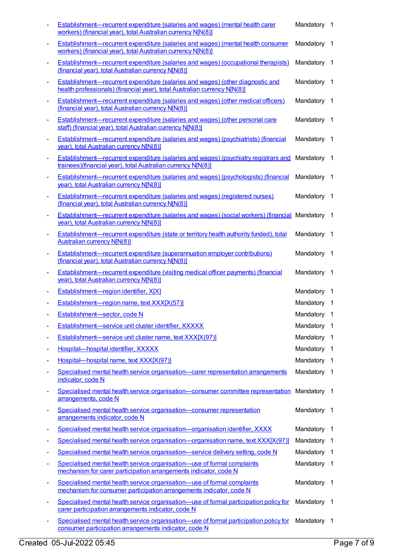|                              | <b>Establishment—recurrent expenditure (salaries and wages) (mental health carer</b><br>workers) (financial year), total Australian currency N[N(8)]               | Mandatory 1 |                          |
|------------------------------|--------------------------------------------------------------------------------------------------------------------------------------------------------------------|-------------|--------------------------|
| $\overline{\phantom{a}}$     | <b>Establishment—recurrent expenditure (salaries and wages) (mental health consumer</b><br>workers) (financial year), total Australian currency N[N(8)]            | Mandatory   | $\overline{1}$           |
|                              | <b>Establishment—recurrent expenditure (salaries and wages) (occupational therapists)</b><br>(financial year), total Australian currency N[N(8)]                   | Mandatory 1 |                          |
|                              | <b>Establishment-recurrent expenditure (salaries and wages) (other diagnostic and</b><br>health professionals) (financial year), total Australian currency N[N(8)] | Mandatory 1 |                          |
|                              | <b>Establishment—recurrent expenditure (salaries and wages) (other medical officers)</b><br>(financial year), total Australian currency N[N(8)]                    | Mandatory 1 |                          |
| $\qquad \qquad \blacksquare$ | Establishment-recurrent expenditure (salaries and wages) (other personal care<br>staff) (financial year), total Australian currency N[N(8)]                        | Mandatory 1 |                          |
| $\overline{\phantom{a}}$     | Establishment-recurrent expenditure (salaries and wages) (psychiatrists) (financial<br>year), total Australian currency N[N(8)]                                    | Mandatory   | $\overline{\phantom{1}}$ |
|                              | Establishment-recurrent expenditure (salaries and wages) (psychiatry registrars and<br>trainees)(financial year), total Australian currency N[N(8)]                | Mandatory 1 |                          |
|                              | <b>Establishment—recurrent expenditure (salaries and wages) (psychologists) (financial</b><br>year), total Australian currency N[N(8)]                             | Mandatory 1 |                          |
|                              | <b>Establishment—recurrent expenditure (salaries and wages) (registered nurses)</b><br>(financial year), total Australian currency N[N(8)]                         | Mandatory 1 |                          |
| $\overline{\phantom{a}}$     | <b>Establishment—recurrent expenditure (salaries and wages) (social workers) (financial Mandatory 1</b><br>year), total Australian currency N[N(8)]                |             |                          |
| $\overline{\phantom{a}}$     | <b>Establishment—recurrent expenditure (state or territory health authority funded), total</b><br><b>Australian currency N[N(8)]</b>                               | Mandatory 1 |                          |
|                              | <b>Establishment—recurrent expenditure (superannuation employer contributions)</b><br>(financial year), total Australian currency N[N(8)]                          | Mandatory 1 |                          |
|                              | Establishment-recurrent expenditure (visiting medical officer payments) (financial<br>year), total Australian currency N[N(8)]                                     | Mandatory   | $\overline{1}$           |
|                              | Establishment-region identifier, X[X]                                                                                                                              | Mandatory 1 |                          |
|                              | Establishment-region name, text XXX[X(57)]                                                                                                                         | Mandatory 1 |                          |
|                              | Establishment-sector, code N                                                                                                                                       | Mandatory 1 |                          |
|                              | Establishment-service unit cluster identifier, XXXXX                                                                                                               | Mandatory   | - 1                      |
| -                            | Establishment-service unit cluster name, text XXX[X(97)]                                                                                                           | Mandatory   | $\overline{1}$           |
| ۰                            | Hospital-hospital identifier, XXXXX                                                                                                                                | Mandatory   | - 1                      |
|                              | Hospital-hospital name, text XXX[X(97)]                                                                                                                            | Mandatory   | $\overline{1}$           |
|                              | Specialised mental health service organisation—carer representation arrangements<br>indicator, code N                                                              | Mandatory   | - 1                      |
|                              | Specialised mental health service organisation-consumer committee representation<br>arrangements, code N                                                           | Mandatory 1 |                          |
|                              | Specialised mental health service organisation-consumer representation<br>arrangements indicator, code N                                                           | Mandatory 1 |                          |
| -                            | Specialised mental health service organisation—organisation identifier, XXXX                                                                                       | Mandatory   | $\overline{1}$           |
| ٠                            | Specialised mental health service organisation—organisation name, text XXX[X(97)]                                                                                  | Mandatory   | -1                       |
| -                            | Specialised mental health service organisation—service delivery setting, code N                                                                                    | Mandatory   | - 1                      |
| -                            | Specialised mental health service organisation-use of formal complaints<br>mechanism for carer participation arrangements indicator, code N                        | Mandatory 1 |                          |
| $\overline{a}$               | Specialised mental health service organisation—use of formal complaints<br>mechanism for consumer participation arrangements indicator, code N                     | Mandatory 1 |                          |
|                              | Specialised mental health service organisation—use of formal participation policy for<br>carer participation arrangements indicator, code N                        | Mandatory 1 |                          |
|                              | Specialised mental health service organisation-use of formal participation policy for<br>consumer participation arrangements indicator, code N                     | Mandatory 1 |                          |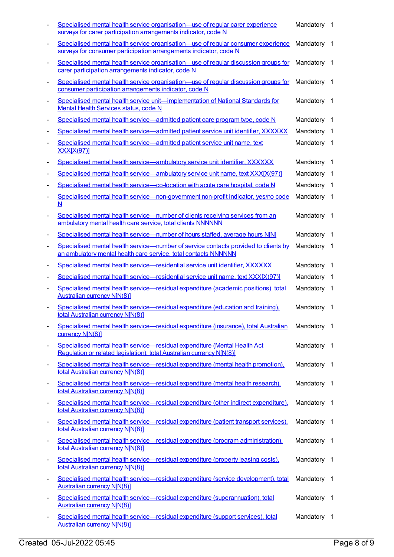|                              | Specialised mental health service organisation—use of regular carer experience<br>surveys for carer participation arrangements indicator, code N       | Mandatory 1 |                          |
|------------------------------|--------------------------------------------------------------------------------------------------------------------------------------------------------|-------------|--------------------------|
|                              | Specialised mental health service organisation—use of regular consumer experience<br>surveys for consumer participation arrangements indicator, code N | Mandatory 1 |                          |
|                              | Specialised mental health service organisation—use of regular discussion groups for<br>carer participation arrangements indicator, code N              | Mandatory 1 |                          |
|                              | Specialised mental health service organisation—use of regular discussion groups for<br>consumer participation arrangements indicator, code N           | Mandatory 1 |                          |
|                              | Specialised mental health service unit-implementation of National Standards for<br>Mental Health Services status, code N                               | Mandatory   | $\overline{\phantom{1}}$ |
| -                            | Specialised mental health service—admitted patient care program type, code N                                                                           | Mandatory   | - 1                      |
|                              | Specialised mental health service—admitted patient service unit identifier, XXXXXX                                                                     | Mandatory   | $\overline{1}$           |
|                              | Specialised mental health service-admitted patient service unit name, text<br><b>XXX[X(97)]</b>                                                        | Mandatory 1 |                          |
|                              | Specialised mental health service-ambulatory service unit identifier, XXXXXX                                                                           | Mandatory   | - 1                      |
|                              | Specialised mental health service—ambulatory service unit name, text XXX[X(97)]                                                                        | Mandatory 1 |                          |
|                              | Specialised mental health service-co-location with acute care hospital, code N                                                                         | Mandatory 1 |                          |
|                              | Specialised mental health service—non-government non-profit indicator, yes/no code<br>N                                                                | Mandatory 1 |                          |
|                              | Specialised mental health service—number of clients receiving services from an<br>ambulatory mental health care service, total clients NNNNNN          | Mandatory 1 |                          |
|                              | Specialised mental health service—number of hours staffed, average hours N[N]                                                                          | Mandatory   | $\overline{1}$           |
|                              | Specialised mental health service—number of service contacts provided to clients by<br>an ambulatory mental health care service, total contacts NNNNNN | Mandatory 1 |                          |
|                              | Specialised mental health service-residential service unit identifier, XXXXXX                                                                          | Mandatory   | - 1                      |
|                              | Specialised mental health service-residential service unit name, text XXX[X(97)]                                                                       | Mandatory 1 |                          |
|                              | Specialised mental health service—residual expenditure (academic positions), total<br><b>Australian currency N[N(8)]</b>                               | Mandatory 1 |                          |
|                              | Specialised mental health service-residual expenditure (education and training).<br>total Australian currency N[N(8)]                                  | Mandatory 1 |                          |
| $\overline{\phantom{a}}$     | Specialised mental health service—residual expenditure (insurance), total Australian<br>currency N[N(8)]                                               | Mandatory   | - 1                      |
| -                            | Specialised mental health service-residual expenditure (Mental Health Act<br>Requlation or related legislation), total Australian currency N[N(8)]     | Mandatory 1 |                          |
| $\overline{a}$               | Specialised mental health service-residual expenditure (mental health promotion),<br>total Australian currency N[N(8)]                                 | Mandatory 1 |                          |
|                              | Specialised mental health service-residual expenditure (mental health research),<br>total Australian currency N[N(8)]                                  | Mandatory 1 |                          |
| $\overline{\phantom{a}}$     | Specialised mental health service—residual expenditure (other indirect expenditure).<br>total Australian currency N[N(8)]                              | Mandatory 1 |                          |
| $\overline{\phantom{a}}$     | Specialised mental health service—residual expenditure (patient transport services),<br>total Australian currency N[N(8)]                              | Mandatory   | - 1                      |
| $\qquad \qquad \blacksquare$ | Specialised mental health service—residual expenditure (program administration).<br>total Australian currency N[N(8)]                                  | Mandatory 1 |                          |
| $\overline{\phantom{a}}$     | Specialised mental health service-residual expenditure (property leasing costs).<br>total Australian currency N[N(8)]                                  | Mandatory 1 |                          |
|                              | Specialised mental health service—residual expenditure (service development), total<br><b>Australian currency N[N(8)]</b>                              | Mandatory 1 |                          |
| $\overline{\phantom{a}}$     | Specialised mental health service-residual expenditure (superannuation), total<br><b>Australian currency N[N(8)]</b>                                   | Mandatory 1 |                          |
| $\overline{\phantom{a}}$     | Specialised mental health service-residual expenditure (support services), total<br><b>Australian currency N[N(8)]</b>                                 | Mandatory   | $\overline{1}$           |